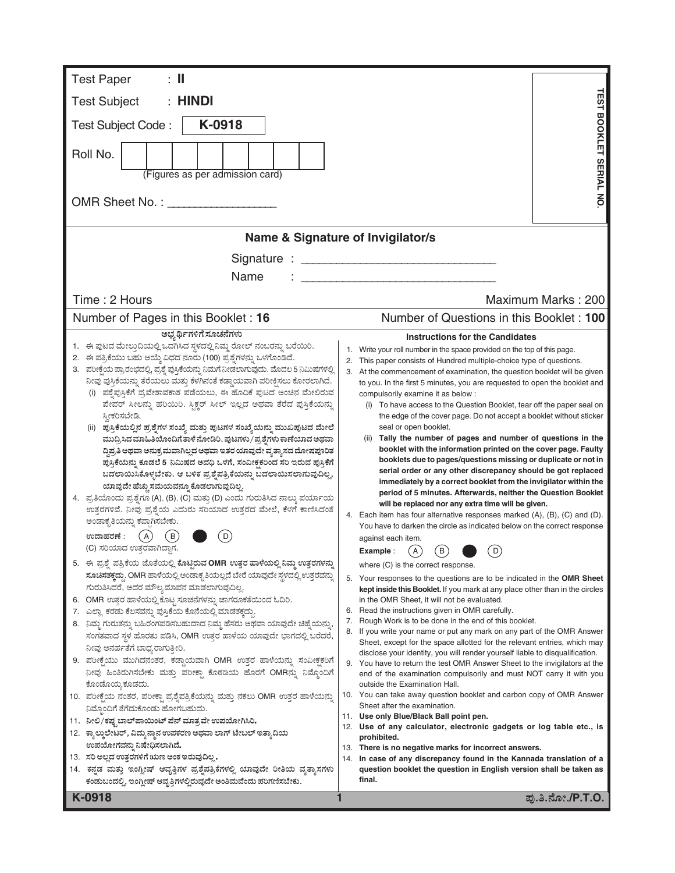| <b>Test Paper</b><br>: II                                                                                                                             |                                                                                                                                                                |  |  |  |  |  |  |
|-------------------------------------------------------------------------------------------------------------------------------------------------------|----------------------------------------------------------------------------------------------------------------------------------------------------------------|--|--|--|--|--|--|
| <b>Test Subject</b><br>: HINDI                                                                                                                        | <b>TEST</b>                                                                                                                                                    |  |  |  |  |  |  |
| K-0918                                                                                                                                                |                                                                                                                                                                |  |  |  |  |  |  |
| <b>Test Subject Code:</b>                                                                                                                             |                                                                                                                                                                |  |  |  |  |  |  |
| Roll No.                                                                                                                                              | BOOKLET SERIAL NO                                                                                                                                              |  |  |  |  |  |  |
| (Figures as per admission card)                                                                                                                       |                                                                                                                                                                |  |  |  |  |  |  |
|                                                                                                                                                       |                                                                                                                                                                |  |  |  |  |  |  |
|                                                                                                                                                       | Name & Signature of Invigilator/s                                                                                                                              |  |  |  |  |  |  |
|                                                                                                                                                       |                                                                                                                                                                |  |  |  |  |  |  |
| Name                                                                                                                                                  |                                                                                                                                                                |  |  |  |  |  |  |
|                                                                                                                                                       |                                                                                                                                                                |  |  |  |  |  |  |
| Time: 2 Hours                                                                                                                                         | Maximum Marks: 200                                                                                                                                             |  |  |  |  |  |  |
| Number of Pages in this Booklet: 16                                                                                                                   | Number of Questions in this Booklet: 100                                                                                                                       |  |  |  |  |  |  |
| ಅಭ್ಯರ್ಥಿಗಳಿಗೆ ಸೂಚನೆಗಳು                                                                                                                                | <b>Instructions for the Candidates</b>                                                                                                                         |  |  |  |  |  |  |
| 1. ಈ ಪುಟದ ಮೇಲ್ತುದಿಯಲ್ಲಿ ಒದಗಿಸಿದ ಸ್ಥಳದಲ್ಲಿ ನಿಮ್ಮ ರೋಲ್ ನಂಬರನ್ನು ಬರೆಯಿರಿ.<br>2. ಈ ಪತ್ರಿಕೆಯು ಬಹು ಆಯ್ಕೆ ವಿಧದ ನೂರು (100) ಪ್ರಶ್ನೆಗಳನ್ನು ಒಳಗೊಂಡಿದೆ.           | Write your roll number in the space provided on the top of this page.<br>1.                                                                                    |  |  |  |  |  |  |
| 3. ಪರೀಕ್ಷೆಯ ಪ್ರಾರಂಭದಲ್ಲಿ, ಪ್ರಶ್ನೆ ಪುಸ್ತಿಕೆಯನ್ನು ನಿಮಗೆ ನೀಡಲಾಗುವುದು. ಮೊದಲ 5 ನಿಮಿಷಗಳಲ್ಲಿ                                                                 | 2. This paper consists of Hundred multiple-choice type of questions.<br>3. At the commencement of examination, the question booklet will be given              |  |  |  |  |  |  |
| ನೀವು ಪುಸ್ತಿಕೆಯನ್ನು ತೆರೆಯಲು ಮತ್ತು ಕೆಳಗಿನಂತೆ ಕಡ್ಡಾಯವಾಗಿ ಪರೀಕ್ಷಿಸಲು ಕೋರಲಾಗಿದೆ.                                                                           | to you. In the first 5 minutes, you are requested to open the booklet and                                                                                      |  |  |  |  |  |  |
| ಪಶ್ನೆಪುಸ್ತಿಕೆಗೆ ಪ್ರವೇಶಾವಕಾಶ ಪಡೆಯಲು, ಈ ಹೊದಿಕೆ ಪುಟದ ಅಂಚಿನ ಮೇಲಿರುವ<br>ಪೇಪರ್ ಸೀಲನ್ನು ಹರಿಯಿರಿ. ಸ್ಪಿಕ್ಚರ್ ಸೀಲ್ ಇಲ್ಲದ ಅಥವಾ ತೆರೆದ ಪುಸ್ತಿಕೆಯನ್ನು               | compulsorily examine it as below :                                                                                                                             |  |  |  |  |  |  |
| ಸ್ತೀಕರಿಸಬೇಡಿ.                                                                                                                                         | (i) To have access to the Question Booklet, tear off the paper seal on<br>the edge of the cover page. Do not accept a booklet without sticker                  |  |  |  |  |  |  |
| (ii) ಪುಸ್ತಿಕೆಯಲ್ಲಿನ ಪ್ರಶ್ನೆಗಳ ಸಂಖ್ಯೆ ಮತ್ತು ಪುಟಗಳ ಸಂಖ್ಯೆಯನ್ನು ಮುಖಪುಟದ ಮೇಲೆ                                                                             | seal or open booklet.                                                                                                                                          |  |  |  |  |  |  |
| ಮುದ್ರಿಸಿದ ಮಾಹಿತಿಯೊಂದಿಗೆ ತಾಳೆ ನೋಡಿರಿ. ಪುಟಗಳು/ಪ್ರಶ್ನೆಗಳು ಕಾಣೆಯಾದ ಅಥವಾ                                                                                   | (ii) Tally the number of pages and number of questions in the                                                                                                  |  |  |  |  |  |  |
| ದ್ದಿಪ್ರತಿ ಅಥವಾ ಅನುಕ್ರಮವಾಗಿಲ್ಲದ ಅಥವಾ ಇತರ ಯಾವುದೇ ವ್ಯತ್ಯಾಸದ ದೋಷಪೂರಿತ                                                                                     | booklet with the information printed on the cover page. Faulty<br>booklets due to pages/questions missing or duplicate or not in                               |  |  |  |  |  |  |
| ಪುಸ್ತಿಕೆಯನ್ನು ಕೂಡಲೆ 5 ನಿಮಿಷದ ಅವಧಿ ಒಳಗೆ, ಸಂವೀಕ್ಷಕರಿಂದ ಸರಿ ಇರುವ ಪುಸ್ತಿಕೆಗೆ<br>ಬದಲಾಯಿಸಿಕೊಳ್ಳಬೇಕು. ಆ ಬಳಿಕ ಪ್ರಶೈಪತ್ರಿಕೆಯನ್ನು ಬದಲಾಯಿಸಲಾಗುವುದಿಲ್ಲ,           | serial order or any other discrepancy should be got replaced                                                                                                   |  |  |  |  |  |  |
| ಯಾವುದೇ ಹೆಚ್ಚು ಸಮಯವನ್ನೂ ಕೊಡಲಾಗುವುದಿಲ್ಲ.                                                                                                                | immediately by a correct booklet from the invigilator within the                                                                                               |  |  |  |  |  |  |
| 4. ಪ್ರತಿಯೊಂದು ಪ್ರಶ್ನೆಗೂ (A), (B), (C) ಮತ್ತು (D) ಎಂದು ಗುರುತಿಸಿದ ನಾಲ್ಕು ಪರ್ಯಾಯ                                                                          | period of 5 minutes. Afterwards, neither the Question Booklet<br>will be replaced nor any extra time will be given.                                            |  |  |  |  |  |  |
| ಉತ್ತರಗಳಿವೆ. ನೀವು ಪ್ರಶ್ನೆಯ ಎದುರು ಸರಿಯಾದ ಉತ್ತರದ ಮೇಲೆ, ಕೆಳಗೆ ಕಾಣಿಸಿದಂತೆ                                                                                  | 4. Each item has four alternative responses marked (A), (B), (C) and (D).                                                                                      |  |  |  |  |  |  |
| ಅಂಡಾಕೃತಿಯನ್ನು ಕಪ್ಪಾಗಿಸಬೇಕು.                                                                                                                           | You have to darken the circle as indicated below on the correct response                                                                                       |  |  |  |  |  |  |
| A<br>ಉದಾಹರಣೆ :<br>D<br>В<br>(C) ಸರಿಯಾದ ಉತ್ತರವಾಗಿದ್ದಾಗ.                                                                                                | against each item.                                                                                                                                             |  |  |  |  |  |  |
| 5. ಈ ಪ್ರಶ್ನೆ ಪತ್ರಿಕೆಯ ಜೊತೆಯಲ್ಲಿ ಕೊಟ್ಟಿರುವ OMR ಉತ್ತರ ಹಾಳೆಯಲ್ಲಿ ನಿಮ್ಮ ಉತ್ತರಗಳನ್ನು                                                                       | $\left( \mathsf{B}\right)$<br>$\mathsf{A}$<br>D<br>Example :                                                                                                   |  |  |  |  |  |  |
| ಸೂಚಿಸತಕ್ಕದ್ದು. OMR ಹಾಳೆಯಲ್ಲಿ ಅಂಡಾಕೃತಿಯಲ್ಲದೆ ಬೇರೆ ಯಾವುದೇ ಸ್ಥಳದಲ್ಲಿ ಉತ್ತರವನ್ನು                                                                          | where (C) is the correct response.                                                                                                                             |  |  |  |  |  |  |
| ಗುರುತಿಸಿದರೆ, ಅದರ ಮೌಲ್ಯಮಾಪನ ಮಾಡಲಾಗುವುದಿಲ್ಲ.                                                                                                            | 5. Your responses to the questions are to be indicated in the OMR Sheet<br><b>kept inside this Booklet.</b> If you mark at any place other than in the circles |  |  |  |  |  |  |
| 6. OMR ಉತ್ತರ ಹಾಳೆಯಲ್ಲಿ ಕೊಟ್ಟ ಸೂಚನೆಗಳನ್ನು ಜಾಗರೂಕತೆಯಿಂದ ಓದಿರಿ.                                                                                          | in the OMR Sheet, it will not be evaluated.                                                                                                                    |  |  |  |  |  |  |
| 7. ಎಲ್ಲಾ ಕರಡು ಕೆಲಸವನ್ನು ಪುಸ್ತಿಕೆಯ ಕೊನೆಯಲ್ಲಿ ಮಾಡತಕ್ಕದ್ದು.                                                                                              | 6. Read the instructions given in OMR carefully.<br>Rough Work is to be done in the end of this booklet.<br>7.                                                 |  |  |  |  |  |  |
| 8. ನಿಮ್ಮ ಗುರುತನ್ನು ಬಹಿರಂಗಪಡಿಸಬಹುದಾದ ನಿಮ್ಮ ಹೆಸರು ಅಥವಾ ಯಾವುದೇ ಚಿಹ್ನೆಯನ್ನು,<br>ಸಂಗತವಾದ ಸ್ಥಳ ಹೊರತು ಪಡಿಸಿ, OMR ಉತ್ತರ ಹಾಳೆಯ ಯಾವುದೇ ಭಾಗದಲ್ಲಿ ಬರೆದರೆ,         | If you write your name or put any mark on any part of the OMR Answer<br>8.                                                                                     |  |  |  |  |  |  |
| ನೀವು ಅನರ್ಹತೆಗೆ ಬಾಧ್ಯರಾಗುತ್ತೀರಿ.                                                                                                                       | Sheet, except for the space allotted for the relevant entries, which may                                                                                       |  |  |  |  |  |  |
| 9. ಪರೀಕ್ಷೆಯು ಮುಗಿದನಂತರ, ಕಡ್ಡಾಯವಾಗಿ OMR ಉತ್ತರ ಹಾಳೆಯನ್ನು ಸಂವೀಕ್ಷಕರಿಗೆ                                                                                   | disclose your identity, you will render yourself liable to disqualification.<br>9. You have to return the test OMR Answer Sheet to the invigilators at the     |  |  |  |  |  |  |
| ನೀವು ಹಿಂತಿರುಗಿಸಬೇಕು ಮತ್ತು ಪರೀಕ್ಷಾ ಕೊಠಡಿಯ ಹೊರಗೆ OMRನ್ನು ನಿಮ್ಮೊಂದಿಗೆ                                                                                    | end of the examination compulsorily and must NOT carry it with you                                                                                             |  |  |  |  |  |  |
| ಕೊಂಡೊಯ್ಗ ಕೂಡದು.                                                                                                                                       | outside the Examination Hall.                                                                                                                                  |  |  |  |  |  |  |
| 10. ಪರೀಕ್ಷೆಯ ನಂತರ, ಪರೀಕ್ಷಾ ಪ್ರಶ್ನೆಪತ್ರಿಕೆಯನ್ನು ಮತ್ತು ನಕಲು OMR ಉತ್ತರ ಹಾಳೆಯನ್ನು                                                                         | 10. You can take away question booklet and carbon copy of OMR Answer<br>Sheet after the examination.                                                           |  |  |  |  |  |  |
| ನಿಮ್ಗೊಂದಿಗೆ ತೆಗೆದುಕೊಂಡು ಹೋಗಬಹುದು.<br>11. ನೀಲಿ/ಕಪ್ಪುಬಾಲ್ ಪಾಯಿಂಟ್ ಪೆನ್ ಮಾತ್ರವೇ ಉಪಯೋಗಿಸಿರಿ.                                                              | 11. Use only Blue/Black Ball point pen.                                                                                                                        |  |  |  |  |  |  |
| 12.   ಕ್ಯಾಲ್ಕುಲೇಟರ್, ವಿದ್ಯುನ್ಮಾನ ಉಪಕರಣ ಅಥವಾ ಲಾಗ್ ಟೇಬಲ್ ಇತ್ಯಾದಿಯ                                                                                       | 12. Use of any calculator, electronic gadgets or log table etc., is<br>prohibited.                                                                             |  |  |  |  |  |  |
| ಉಪಯೋಗವನ್ನು ನಿಷೇಧಿಸಲಾಗಿದೆ.                                                                                                                             | 13. There is no negative marks for incorrect answers.                                                                                                          |  |  |  |  |  |  |
| 13. ಸರಿ ಅಲ್ಲದ ಉತ್ತರಗಳಿಗೆ ಋಣ ಅಂಕ ಇರುವುದಿಲ್ಲ.                                                                                                           | In case of any discrepancy found in the Kannada translation of a<br>14.                                                                                        |  |  |  |  |  |  |
| 14. ಕನ್ನಡ ಮತ್ತು ಇಂಗ್ಲೀಷ್ ಆವೃತ್ತಿಗಳ ಪ್ರಶ್ನೆಪತ್ರಿಕೆಗಳಲ್ಲಿ ಯಾವುದೇ ರೀತಿಯ ವ್ಯತ್ನಾಸಗಳು<br>ಕಂಡುಬಂದಲ್ಲಿ, ಇಂಗ್ಲೀಷ್ ಆವೃತ್ತಿಗಳಲ್ಲಿರುವುದೇ ಅಂತಿಮವೆಂದು ಪರಿಗಣಿಸಬೇಕು. | question booklet the question in English version shall be taken as<br>final.                                                                                   |  |  |  |  |  |  |
| K-0918                                                                                                                                                | ಪು.ತಿ.ನೋ./P.T.O.                                                                                                                                               |  |  |  |  |  |  |
|                                                                                                                                                       |                                                                                                                                                                |  |  |  |  |  |  |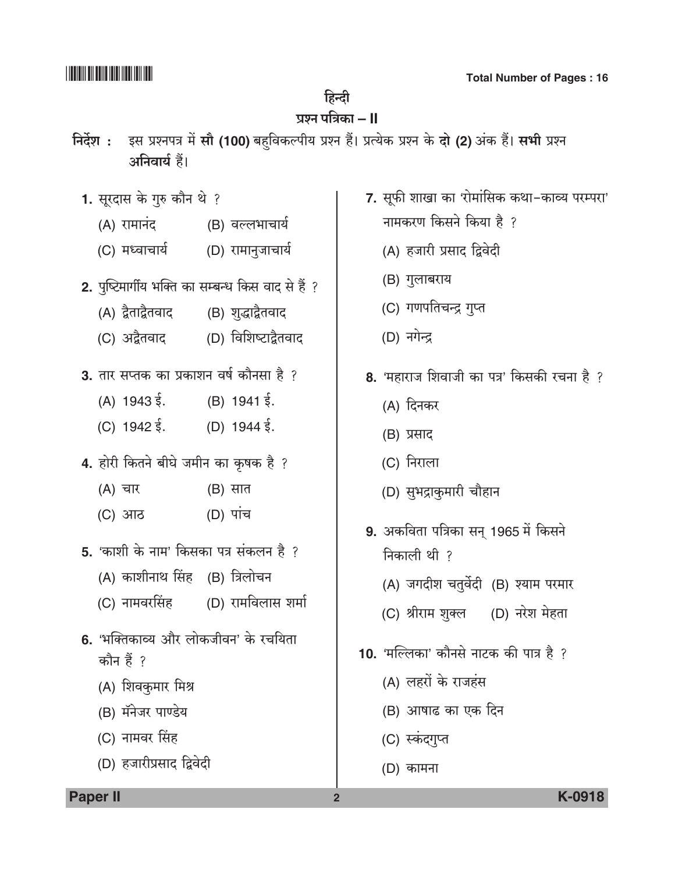## हिन्दी

# प्रश्न पत्रिका **– II**

- निर्देश: इस प्रश्नपत्र में सौ (100) बहविकल्पीय प्रश्न हैं। प्रत्येक प्रश्न के दो (2) अंक हैं। सभी प्रश्न अनिवार्य हैं।
	- 1. सूरदास के गुरु कौन थे ?
		- (A) रामानंद (B) वल्लभाचार्य
		- (C) मध्वाचार्य (D) रामानुजाचार्य
	- 2. पृष्टिमार्गीय भक्ति का सम्बन्ध किस वाद से हैं ?
		- (A) द्वैताद्वैतवाद (B) शुद्धाद्वैतवाद
		- (C) अद्वैतवाद (D) विशिष्टाद्वैतवाद
	- 3. तार सप्तक का प्रकाशन वर्ष कौनसा है ?
		- (A)  $1943\overline{5}$ . (B)  $1941\overline{5}$ .
		- (C)  $1942 \xi$ . (D)  $1944 \xi$ .
	- 4. होरी कितने बीघे जमीन का कृषक है ?
		- (B) सात (A) चार
		- $(D)$  पांच (C) आठ
	- 5. 'काशी के नाम' किसका पत्र संकलन है ?
		- (A) काशीनाथ सिंह (B) त्रिलोचन
		- (C) नामवरसिंह (D) रामविलास शर्मा
	- 6. 'भक्तिकाव्य और लोकजीवन' के रचयिता कौन हैं ?
		- (A) शिवकुमार मिश्र
		- (B) मॅनेजर पाण्डेय
		- (C) नामवर सिंह
		- (D) हजारीप्रसाद द्विवेदी
- 7. सूफी शाखा का 'रोमांसिक कथा-काव्य परम्परा'
	- नामकरण किसने किया है ?
	- (A) हजारी प्रसाद द्विवेदी
	- (B) गुलाबराय
	- (C) गणपतिचन्द्र गुप्त
	- (D) नगेन्द्र
- 8. 'महाराज शिवाजी का पत्र' किसकी रचना है ?
	- (A) दिनकर
	- (B) प्रसाद
	- (C) निराला
	- (D) सुभद्राकुमारी चौहान
- 9. अकविता पत्रिका सन् 1965 में किसने निकाली थी ?
	- (A) जगदीश चतुर्वेदी (B) श्याम परमार
	- (C) श्रीराम शुक्ल (D) नरेश मेहता
- 10. 'मल्लिका' कौनसे नाटक की पात्र है ?
	- (A) लहरों के राजहंस
	- (B) आषाढ का एक दिन
	- (C) स्कंदगुप्त
	- (D) कामना

 $\overline{2}$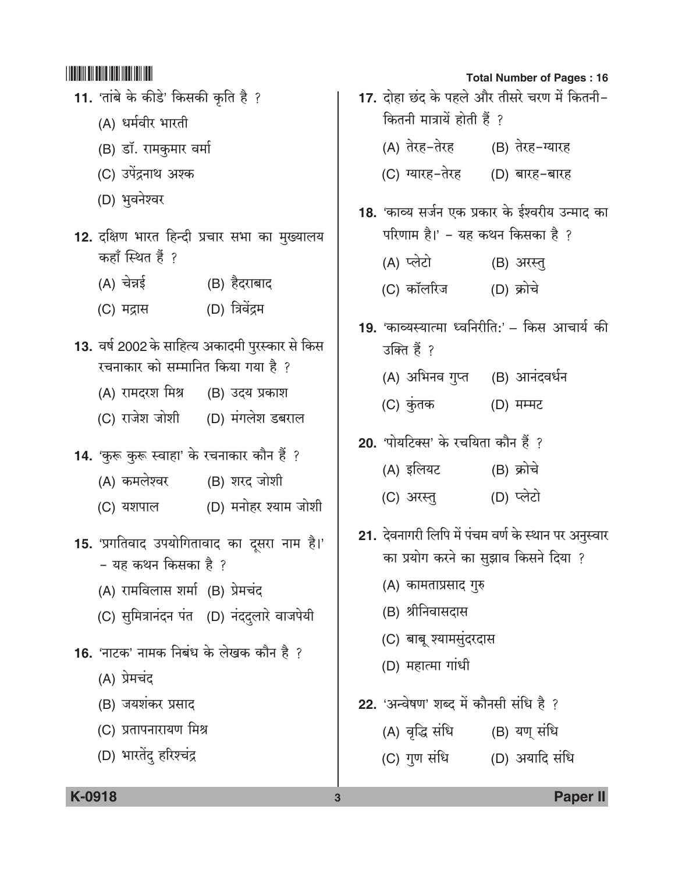- 11. 'तांबे के कीडे' किसकी कृति है ?
	- (A) धर्मवीर भारती
	- (B) डॉ. रामकुमार वर्मा
	- (C) उपेंद्रनाथ अश्क
	- (D) भवनेश्वर
- 12. दक्षिण भारत हिन्दी प्रचार सभा का मुख्यालय कहाँ स्थित हैं ?
	- (A) चेन्नई (B) हैदराबाद
	- (D) त्रिवेंद्रम (C) मद्रास
- 13. वर्ष 2002 के साहित्य अकादमी पुरस्कार से किस रचनाकार को सम्मानित किया गया है ?
	- (A) रामदरश मिश्र (B) उदय प्रकाश
	- (C) राजेश जोशी (D) मंगलेश डबराल
- 14. 'कुरू कुरू स्वाहा' के रचनाकार कौन हैं ?
	- (A) कमलेश्वर (B) शरद जोशी
	- (D) मनोहर श्याम जोशी (C) यशपाल
- 15. 'प्रगतिवाद उपयोगितावाद का दुसरा नाम है।' - यह कथन किसका है ?
	- (A) रामविलास शर्मा (B) प्रेमचंद
	- (C) सुमित्रानंदन पंत (D) नंददुलारे वाजपेयी
- 16. 'नाटक' नामक निबंध के लेखक कौन है ?
	- (A) प्रेमचंद
	- (B) जयशंकर प्रसाद
	- (C) प्रतापनारायण मिश्र
	- (D) भारतेंदु हरिश्चंद्र
- **Total Number of Pages: 16** 17. दोहा छंद के पहले और तीसरे चरण में कितनी-कितनी मात्रायें होती हैं ? (A) तेरह-तेरह (B) तेरह-ग्यारह (C) ग्यारह-तेरह (D) बारह-बारह 18. 'काव्य सर्जन एक प्रकार के ईश्वरीय उन्माद का परिणाम है।' – यह कथन किसका है ? (A) प्लेटो (B) अरस्त् (D) क्रोचे (C) कॉलरिज 19. 'काव्यस्यात्मा ध्वनिरीति:' – किस आचार्य की उक्ति हैं ? (A) अभिनव गुप्त (B) आनंदवर्धन (C) कुंतक (D) मम्मट 20. 'पोयटिक्स' के रचयिता कौन हैं ? (A) इलियट (B) क्रोचे (D) प्लेटो (C) अरस्तु 21. देवनागरी लिपि में पंचम वर्ण के स्थान पर अनुस्वार का प्रयोग करने का सुझाव किसने दिया ? (A) कामताप्रसाद गुरु (B) श्रीनिवासदास (C) बाबू श्यामसुंदरदास (D) महात्मा गांधी
- 22. 'अन्वेषण' शब्द में कौनसी संधि है ?
	- (B) यण् संधि (A) वृद्धि संधि
	- (C) गुण संधि (D) अयादि संधि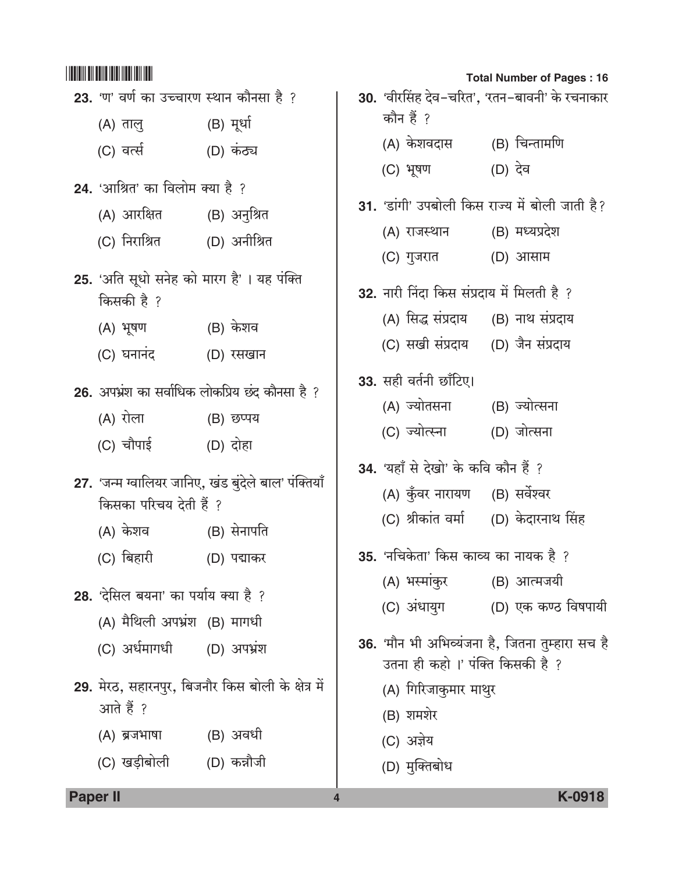|                                                             |                                                      |                                                      | <b>Total Number of Pages: 16</b>                |
|-------------------------------------------------------------|------------------------------------------------------|------------------------------------------------------|-------------------------------------------------|
| 23. 'ण' वर्ण का उच्चारण स्थान कौनसा है ?                    |                                                      |                                                      | 30. 'वीरसिंह देव-चरित', 'रतन-बावनी' के रचनाकार  |
| (A) तालु (B) मूर्धा                                         |                                                      | कौन हैं ?                                            |                                                 |
| (C) वर्त्स (D) कंठ्य                                        |                                                      | (A) केशवदास      (B) चिन्तामणि                       |                                                 |
|                                                             |                                                      | (C) भूषण (D) देव                                     |                                                 |
| 24. 'आश्रित' का विलोम क्या है ?                             |                                                      |                                                      | 31. 'डांगी' उपबोली किस राज्य में बोली जाती है?  |
| (A) आरक्षित        (B) अनुश्रित                             |                                                      | (A) राजस्थान                                         | (B) मध्यप्रदेश                                  |
| (C) निराश्रित         (D) अनीश्रित                          |                                                      | (C) गुजरात                                           | (D) आसाम                                        |
| 25. 'अति सूधो सनेह को मारग है'। यह पंक्ति<br>किसकी है ?     |                                                      | 32. नारी निंदा किस संप्रदाय में मिलती है ?           |                                                 |
| (A) भूषण           (B) केशव                                 |                                                      | (A) सिद्ध संप्रदाय (B) नाथ संप्रदाय                  |                                                 |
| (C) घनानंद (D) रसखान                                        |                                                      | (C) सखी संप्रदाय (D) जैन संप्रदाय                    |                                                 |
| (A) रोला                (B) छप्पय                           | 26. अपभ्रंश का सर्वाधिक लोकप्रिय छंद कौनसा है ?      | 33. सही वर्तनी छाँटिए।<br>(A) ज्योतसना (B) ज्योत्सना |                                                 |
| (C) चौपाई (D) दोहा                                          |                                                      | (C) ज्योत्स्ना                                       | (D) जोत्सना                                     |
|                                                             |                                                      | 34. 'यहाँ से देखो' के कवि कौन हैं ?                  |                                                 |
|                                                             | 27. 'जन्म ग्वालियर जानिए, खंड बुंदेले बाल' पंक्तियाँ | (A) कुँवर नारायण (B) सर्वेश्वर                       |                                                 |
| किसका परिचय देती हैं ?<br>(A) केशव              (B) सेनापति |                                                      | (C) श्रीकांत वर्मा (D) केदारनाथ सिंह                 |                                                 |
| (C) बिहारी                                                  | (D) पद्माकर                                          | 35. 'नचिकेता' किस काव्य का नायक है ?                 |                                                 |
| 28. 'देसिल बयना' का पर्याय क्या है ?                        |                                                      | (A) भस्मांकुर                                        | (B) आत्मजयी                                     |
| (A) मैथिली अपभ्रंश (B) मागधी                                |                                                      | (C) अंधायुग                                          | (D) एक कण्ठ विषपायी                             |
| (C) अर्धमागधी (D) अपभ्रंश                                   |                                                      | उतना ही कहो।' पंक्ति किसकी है ?                      | 36. 'मौन भी अभिव्यंजना है, जितना तुम्हारा सच है |
| आते हैं ?                                                   | 29. मेरठ, सहारनपुर, बिजनौर किस बोली के क्षेत्र में   | (A) गिरिजाकुमार माथुर<br>(B) शमशेर                   |                                                 |
| (A) ब्रजभाषा          (B) अवधी                              |                                                      | (C) अज्ञेय                                           |                                                 |
| (C) खड़ीबोली (D) कन्नौजी                                    |                                                      | (D) मुक्तिबोध                                        |                                                 |
|                                                             |                                                      |                                                      |                                                 |

 $\overline{4}$ 

Paper II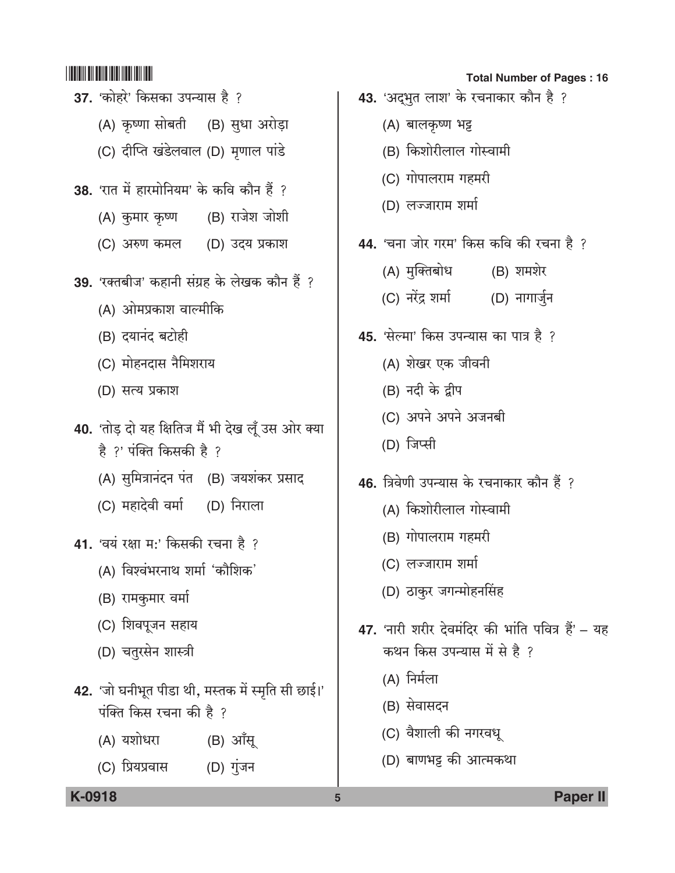- 37. 'कोहरे' किसका उपन्यास है ? (A) कृष्णा सोबती (B) सुधा अरोड़ा (C) दीप्ति खंडेलवाल (D) मृणाल पांडे 38. 'रात में हारमोनियम' के कवि कौन हैं ? (A) कुमार कृष्ण (B) राजेश जोशी (C) अरुण कमल (D) उदय प्रकाश 39. 'रक्तबीज' कहानी संग्रह के लेखक कौन हैं ? (A) ओमप्रकाश वाल्मीकि (B) दयानंद बटोही (C) मोहनदास नैमिशराय (D) सत्य प्रकाश 40. 'तोड़ दो यह क्षितिज मैं भी देख लूँ उस ओर क्या है ?' पंक्ति किसकी है ? (A) सुमित्रानंदन पंत (B) जयशंकर प्रसाद (C) महादेवी वर्मा (D) निराला 41. 'वयं रक्षा मः' किसकी रचना है ? (A) विश्वंभरनाथ शर्मा 'कौशिक' (B) रामकुमार वर्मा (C) शिवपूजन सहाय (D) चतुरसेन शास्त्री 42. 'जो घनीभूत पीडा थी, मस्तक में स्मृति सी छाई।' पंक्ति किस रचना की है ? (A) यशोधरा (B) आँसू
	- $(D)$  गुंजन (C) प्रियप्रवास

#### **Total Number of Pages: 16**

- 43. 'अद्भुत लाश' के रचनाकार कौन है ?
	- (A) बालकृष्ण भट्ट
	- (B) किशोरीलाल गोस्वामी
	- (C) गोपालराम गहमरी
	- (D) लज्जाराम शर्मा
- 44. 'चना जोर गरम' किस कवि की रचना है ?
	- (A) मुक्तिबोध (B) शमशेर
	- (C) नरेंद्र शर्मा (D) नागार्जुन
- 45. 'सेल्मा' किस उपन्यास का पात्र है ?
	- (A) शेखर एक जीवनी
	- (B) नदी के द्वीप
	- (C) अपने अपने अजनबी
	- (D) जिप्सी
- 46. त्रिवेणी उपन्यास के रचनाकार कौन हैं ?
	- (A) किशोरीलाल गोस्वामी
	- (B) गोपालराम गहमरी
	- (C) लज्जाराम शर्मा
	- (D) ठाकुर जगन्मोहनसिंह
- 47. 'नारी शरीर देवमंदिर की भांति पवित्र हैं' यह कथन किस उपन्यास में से है ?
	- (A) निर्मला
	- (B) सेवासदन
	- (C) वैशाली की नगरवधू
	- (D) बाणभट्ट की आत्मकथा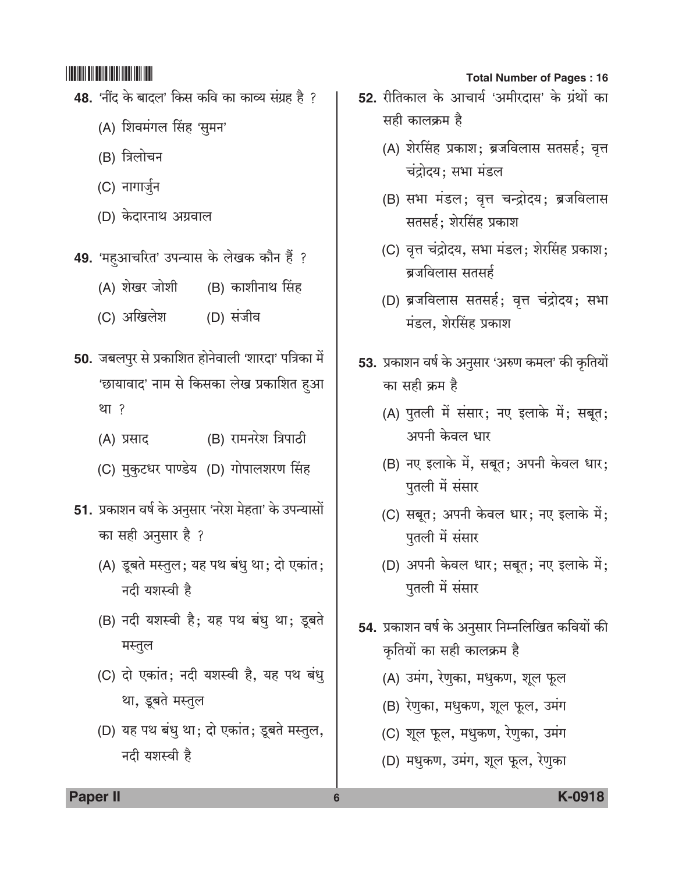- 48. 'नींद के बादल' किस कवि का काव्य संग्रह है ?
	- (A) शिवमंगल सिंह 'सुमन'
	- (B) त्रिलोचन
	- (C) नागार्जुन
	- (D) केदारनाथ अग्रवाल
- 49. 'महुआचरित' उपन्यास के लेखक कौन हैं ?
	- (A) शेखर जोशी (B) काशीनाथ सिंह
	- (C) अखिलेश (D) संजीव
- 50. जबलपुर से प्रकाशित होनेवाली 'शारदा' पत्रिका में 'छायावाद' नाम से किसका लेख प्रकाशित हुआ था ?
	- (B) रामनरेश त्रिपाठी (A) प्रसाद
	- (C) मुकुटधर पाण्डेय (D) गोपालशरण सिंह
- 51. प्रकाशन वर्ष के अनुसार 'नरेश मेहता' के उपन्यासों का सही अनुसार है ?
	- (A) डूबते मस्तुल; यह पथ बंधु था; दो एकांत; नदी यशस्वी है
	- (B) नदी यशस्वी है; यह पथ बंधु था; डूबते मस्तुल
	- (C) दो एकांत; नदी यशस्वी है, यह पथ बंध् था, डूबते मस्तुल
	- (D) यह पथ बंधु था; दो एकांत; डूबते मस्तुल, नदी यशस्वी है

#### **Total Number of Pages: 16**

- 52. रीतिकाल के आचार्य 'अमीरदास' के ग्रंथों का सही कालक्रम है
	- (A) शेरसिंह प्रकाश; ब्रजविलास सतसर्ह; वृत्त चंद्रोदय: सभा मंडल
	- (B) सभा मंडल; वृत्त चन्द्रोदय; ब्रजविलास सतसर्ह; शेरसिंह प्रकाश
	- (C) वृत्त चंद्रोदय, सभा मंडल; शेरसिंह प्रकाश; ब्रजविलास सतसर्ह
	- (D) ब्रजविलास सतसर्ह; वृत्त चंद्रोदय; सभा मंडल, शेरसिंह प्रकाश
- 53. प्रकाशन वर्ष के अनुसार 'अरुण कमल' की कृतियों का सही क्रम है
	- (A) पुतली में संसार; नए इलाके में; सबूत; अपनी केवल धार
	- (B) नए इलाके में, सबूत; अपनी केवल धार; पुतली में संसार
	- (C) सबूत; अपनी केवल धार; नए इलाके में; पुतली में संसार
	- (D) अपनी केवल धार; सबूत; नए इलाके में; पुतली में संसार
- 54. प्रकाशन वर्ष के अनुसार निम्नलिखित कवियों की कृतियों का सही कालक्रम है
	- (A) उमंग, रेणुका, मधुकण, शूल फूल
	- (B) रेणुका, मधुकण, शूल फूल, उमंग
	- (C) शूल फूल, मधुकण, रेणुका, उमंग
	- (D) मधुकण, उमंग, शूल फूल, रेणुका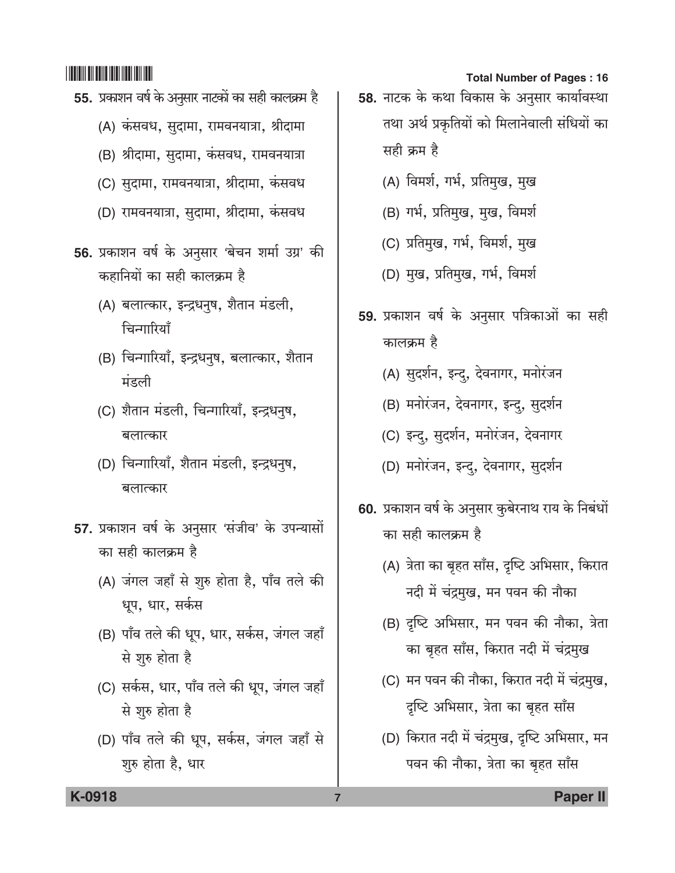- 55. प्रकाशन वर्ष के अनुसार नाटकों का सही कालक्रम है
	- (A) कंसवध, सुदामा, रामवनयात्रा, श्रीदामा
	- (B) श्रीदामा, सुदामा, कंसवध, रामवनयात्रा
	- (C) सुदामा, रामवनयात्रा, श्रीदामा, कंसवध
	- (D) रामवनयात्रा, सुदामा, श्रीदामा, कंसवध
- 56. प्रकाशन वर्ष के अनुसार 'बेचन शर्मा उग्र' की कहानियों का सही कालक्रम है
	- (A) बलात्कार, इन्द्रधनुष, शैतान मंडली, चिन्गारियाँ
	- (B) चिन्गारियाँ, इन्द्रधनुष, बलात्कार, शैतान मंडली
	- (C) शैतान मंडली, चिन्गारियाँ, इन्द्रधनुष, बलात्कार
	- (D) चिन्गारियाँ, शैतान मंडली, इन्द्रधनुष, बलात्कार
- 57. प्रकाशन वर्ष के अनुसार 'संजीव' के उपन्यासों का सही कालक्रम है
	- (A) जंगल जहाँ से शुरु होता है, पाँव तले की धूप, धार, सर्कस
	- (B) पाँव तले की धूप, धार, सर्कस, जंगल जहाँ से शुरु होता है
	- (C) सर्कस, धार, पाँव तले की धूप, जंगल जहाँ से शुरु होता है
	- (D) पाँव तले की धूप, सर्कस, जंगल जहाँ से शुरु होता है, धार

#### **Total Number of Pages: 16**

- 58. नाटक के कथा विकास के अनुसार कार्यावस्था तथा अर्थ प्रकृतियों को मिलानेवाली संधियों का सही क्रम है
	- (A) विमर्श, गर्भ, प्रतिमुख, मुख
	- (B) गर्भ, प्रतिमुख, मुख, विमर्श
	- (C) प्रतिमुख, गर्भ, विमर्श, मुख
	- (D) मुख, प्रतिमुख, गर्भ, विमर्श
- 59. प्रकाशन वर्ष के अनुसार पत्रिकाओं का सही कालक्रम है
	- (A) सुदर्शन, इन्दु, देवनागर, मनोरंजन
	- (B) मनोरंजन, देवनागर, इन्दु, सुदर्शन
	- (C) इन्दु, सुदर्शन, मनोरंजन, देवनागर
	- (D) मनोरंजन, इन्द, देवनागर, सुदर्शन
- 60. प्रकाशन वर्ष के अनुसार कुबेरनाथ राय के निबंधों का सही कालक्रम है
	- (A) त्रेता का बृहत साँस, दृष्टि अभिसार, किरात नदी में चंद्रमुख, मन पवन की नौका
	- (B) दृष्टि अभिसार, मन पवन की नौका, त्रेता का बृहत साँस, किरात नदी में चंद्रमुख
	- (C) मन पवन की नौका, किरात नदी में चंद्रमुख, दृष्टि अभिसार, त्रेता का बृहत साँस
	- (D) किरात नदी में चंद्रमुख, दृष्टि अभिसार, मन पवन की नौका, त्रेता का बृहत साँस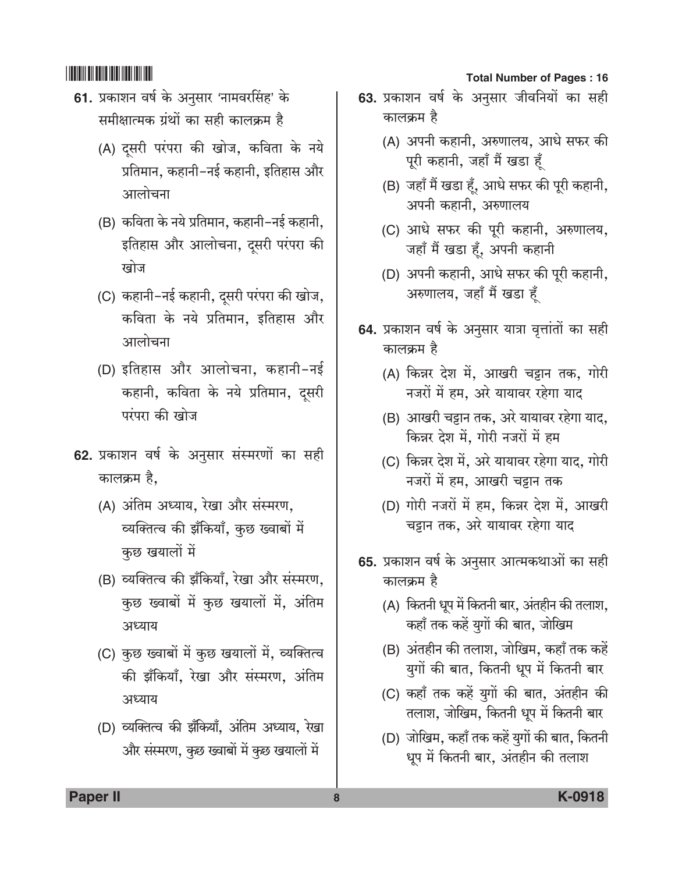- 61. प्रकाशन वर्ष के अनुसार 'नामवरसिंह' के समीक्षात्मक ग्रंथों का सही कालक्रम है
	- (A) दसरी परंपरा की खोज, कविता के नये प्रतिमान. कहानी-नई कहानी. इतिहास और आलोचना
	- (B) कविता के नये प्रतिमान, कहानी-नई कहानी, इतिहास और आलोचना, दुसरी परंपरा की खोज
	- (C) कहानी-नई कहानी, दुसरी परंपरा की खोज, कविता के नये प्रतिमान. इतिहास और आलोचना
	- (D) इतिहास और आलोचना, कहानी-नई कहानी, कविता के नये प्रतिमान, दूसरी परंपरा की खोज
- 62. प्रकाशन वर्ष के अनुसार संस्मरणों का सही कालक्रम है,
	- (A) अंतिम अध्याय, रेखा और संस्मरण, व्यक्तित्व की झँकियाँ, कुछ ख्वाबों में कुछ खयालों में
	- (B) व्यक्तित्व की झँकियाँ, रेखा और संस्मरण, कुछ ख्वाबों में कुछ खयालों में, अंतिम अध्याय
	- (C) कुछ ख्वाबों में कुछ खयालों में, व्यक्तित्व की झँकियाँ, रेखा और संस्मरण, अंतिम अध्याय
	- (D) व्यक्तित्व की झॅंकियाँ, अंतिम अध्याय, रेखा और संस्मरण, कुछ ख्वाबों में कुछ खयालों में

#### **Total Number of Pages: 16**

- 63. प्रकाशन वर्ष के अनुसार जीवनियों का सही कालक्रम है
	- (A) अपनी कहानी, अरुणालय, आधे सफर की पूरी कहानी, जहाँ मैं खडा हँ
	- (B) जहाँ मैं खडा हूँ, आधे सफर की पूरी कहानी, अपनी कहानी, अरुणालय
	- (C) आधे सफर की पूरी कहानी, अरुणालय, जहाँ मैं खडा हूँ, अपनी कहानी
	- (D) अपनी कहानी, आधे सफर की पूरी कहानी, अरुणालय, जहाँ मैं खडा हँ
- 64. प्रकाशन वर्ष के अनुसार यात्रा वृत्तांतों का सही कालक्रम है
	- (A) किन्नर देश में, आखरी चट्टान तक, गोरी नजरों में हम, अरे यायावर रहेगा याद
	- (B) आखरी चट्टान तक, अरे यायावर रहेगा याद, किन्नर देश में, गोरी नजरों में हम
	- (C) किन्नर देश में, अरे यायावर रहेगा याद, गोरी नजरों में हम, आखरी चट्टान तक
	- (D) गोरी नजरों में हम, किन्नर देश में, आखरी चट्टान तक, अरे यायावर रहेगा याद
- 65. प्रकाशन वर्ष के अनुसार आत्मकथाओं का सही कालक्रम है
	- (A) कितनी धूप में कितनी बार, अंतहीन की तलाश, कहाँ तक कहें युगों की बात, जोखिम
	- (B) अंतहीन की तलाश, जोखिम, कहाँ तक कहें युगों की बात, कितनी धूप में कितनी बार
	- (C) कहाँ तक कहें युगों की बात, अंतहीन की तलाश, जोखिम, कितनी धूप में कितनी बार
	- (D) जोखिम, कहाँ तक कहें युगों की बात, कितनी धूप में कितनी बार, अंतहीन की तलाश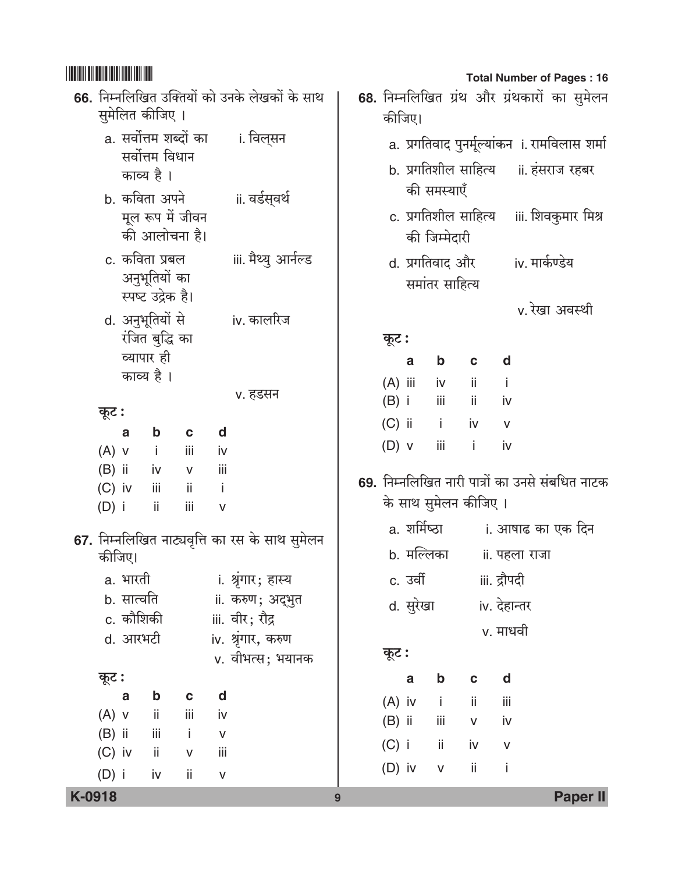|        |                                 |                          |                                                      |                                                 |                            |                                                |                                                        |           |            |                              |                       |              |                | <b>Total Number of Pages: 16</b>                                                                 |
|--------|---------------------------------|--------------------------|------------------------------------------------------|-------------------------------------------------|----------------------------|------------------------------------------------|--------------------------------------------------------|-----------|------------|------------------------------|-----------------------|--------------|----------------|--------------------------------------------------------------------------------------------------|
|        |                                 |                          | सुमेलित कीजिए ।                                      |                                                 |                            | 66. निम्नलिखित उक्तियों को उनके लेखकों के साथ  | 68. निम्नलिखित ग्रंथ और ग्रंथकारों का सुमेलन<br>कीजिए। |           |            |                              |                       |              |                |                                                                                                  |
|        |                                 | काव्य है।                | a. सर्वोत्तम शब्दों का<br>सर्वोत्तम विधान            |                                                 |                            | i. विल् <b>सन</b>                              |                                                        |           |            |                              |                       |              |                | a. प्रगतिवाद पुनर्मूल्यांकन <b>ा. रामविलास शर्मा</b><br>b. प्रगतिशील साहित्य     ii. हंसराज रहबर |
|        |                                 |                          | b. कविता अपने<br>मूल रूप में जीवन<br>की आलोचना है।   |                                                 |                            | ii. वर्डस् <b>वर्थ</b>                         |                                                        |           |            | की समस्याएँ<br>की जिम्मेदारी | c. प्रगतिशील साहित्य  |              |                | iii. शिवकुमार मिश्र                                                                              |
|        |                                 |                          | c. कविता प्रबल<br>अनुभूतियों का<br>स्पष्ट उद्रेक है। |                                                 |                            | iii. मैथ्यु आर्नल्ड                            |                                                        |           |            | समांतर साहित्य               | d. प्रगतिवाद और       |              | iv. मार्कण्डेय |                                                                                                  |
|        |                                 |                          | d. अनुभूतियों से<br>रंजित बुद्धि का                  |                                                 |                            | iv. कालरिज                                     |                                                        | कूट :     |            |                              |                       |              |                | v. रेखा अवस्थी                                                                                   |
|        |                                 | व्यापार ही<br>काव्य है । |                                                      |                                                 |                            |                                                |                                                        |           | a          | $\mathbf b$<br>iv            | $\mathbf c$<br>ii.    | d<br>j.      |                |                                                                                                  |
|        | कूट :                           |                          |                                                      |                                                 |                            | v. हडसन                                        |                                                        | $(A)$ iii | $(B)$ i    | iii                          | ii.                   | iv           |                |                                                                                                  |
|        |                                 | a                        | $\mathbf b$                                          | $\mathbf c$                                     | d                          |                                                |                                                        |           | $(C)$ ii i |                              | iv                    | $\mathsf{V}$ |                |                                                                                                  |
|        | $(A)$ v                         |                          | $\mathbf{i}$                                         | iii                                             | iv                         |                                                |                                                        | $(D)$ v   |            | iii                          | $\pm$ i.              | iv           |                |                                                                                                  |
|        | $(B)$ ii<br>$(C)$ iv<br>$(D)$ i |                          | iv<br>iii.<br>Ϊİ                                     | ${\sf V}$<br>$\overline{\phantom{a}}$ ii<br>iii | iii<br>$\blacksquare$<br>v |                                                |                                                        |           |            |                              | के साथ सुमेलन कीजिए । |              |                | 69. निम्नलिखित नारी पात्रों का उनसे संबधित नाटक                                                  |
|        |                                 |                          |                                                      |                                                 |                            | 67. निम्नलिखित नाट्यवृत्ति का रस के साथ सुमेलन |                                                        |           |            |                              |                       |              |                | a. शर्मिष्ठा           i. आषाढ का एक दिन                                                         |
|        | कीजिए।                          |                          |                                                      |                                                 |                            |                                                |                                                        |           | b. मल्लिका |                              | ii. पहला राजा         |              |                |                                                                                                  |
|        |                                 | a. भारती                 |                                                      |                                                 |                            | i. श्रृंगार; हास्य                             |                                                        |           | c. उर्वी   |                              |                       | iii. द्रौपदी |                |                                                                                                  |
|        |                                 | b. सात्वति               |                                                      |                                                 |                            | ii. करुण; अद्भुत                               |                                                        |           | d. सुरेखा  |                              |                       | iv. देहान्तर |                |                                                                                                  |
|        |                                 | c. कौशिकी                |                                                      |                                                 |                            | iii. वीर; रौद्र                                |                                                        |           |            |                              |                       | v. माधवी     |                |                                                                                                  |
|        |                                 | d. आरभटी                 |                                                      |                                                 |                            | iv. श्रृंगार, करुण<br>v. वीभत्स; भयानक         |                                                        | कूट :     |            |                              |                       |              |                |                                                                                                  |
|        | कूट :                           |                          |                                                      |                                                 |                            |                                                |                                                        |           | a          | b                            | C                     | d            |                |                                                                                                  |
|        |                                 | $\mathbf a$              | $\mathbf b$                                          | $\mathbf c$                                     | d                          |                                                |                                                        | $(A)$ iv  |            | j.                           | ii.                   | iij          |                |                                                                                                  |
|        | $(A)$ v                         |                          | ii.                                                  | iii                                             | iv                         |                                                |                                                        | $(B)$ ii  |            | iii                          | $\sf V$               | iv           |                |                                                                                                  |
|        | $(B)$ ii                        |                          | iii                                                  | j.                                              | ${\sf V}$                  |                                                |                                                        | $(C)$ i   |            | ii                           | iv                    | $\sf V$      |                |                                                                                                  |
|        | $(C)$ iv<br>$(D)$ i             |                          | ii.<br>iv                                            | $\mathsf{V}$<br>ii.                             | iii<br>$\sf V$             |                                                |                                                        | $(D)$ iv  |            | $\mathsf{V}$                 | ii                    | İ            |                |                                                                                                  |
| K-0918 |                                 |                          |                                                      |                                                 |                            |                                                | 9                                                      |           |            |                              |                       |              |                | <b>Paper II</b>                                                                                  |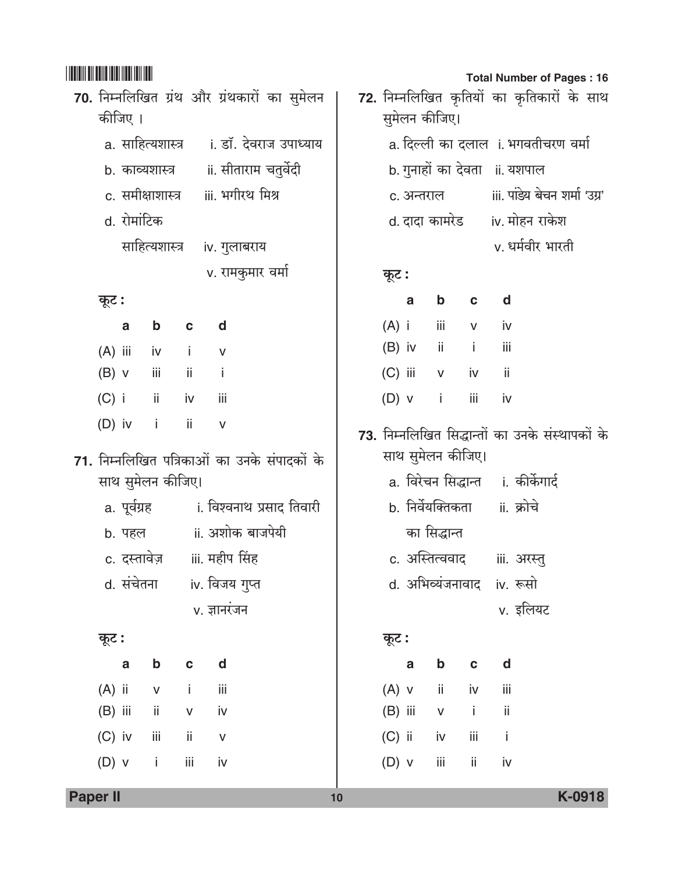|                                                                   | कीजिए ।                     |              |                   | 70. निम्नलिखित ग्रंथ और ग्रंथकारों का सुमेलन       |  |  |  |  |
|-------------------------------------------------------------------|-----------------------------|--------------|-------------------|----------------------------------------------------|--|--|--|--|
|                                                                   |                             |              |                   | a. साहित्यशास्त्र     ।. डॉ. देवराज उपाध्याय       |  |  |  |  |
|                                                                   |                             |              |                   | b. काव्यशास्त्र        ii. सीताराम चतुर्वेदी       |  |  |  |  |
|                                                                   |                             |              |                   | c. समीक्षाशास्त्र iii. भगीरथ मिश्र                 |  |  |  |  |
|                                                                   | d. रोमांटिक                 |              |                   |                                                    |  |  |  |  |
|                                                                   |                             |              |                   | साहित्यशास्त्र iv. गुलाबराय                        |  |  |  |  |
|                                                                   |                             |              |                   | v. रामकुमार वर्मा                                  |  |  |  |  |
| कूट :                                                             |                             |              |                   |                                                    |  |  |  |  |
|                                                                   |                             |              | a b c d           |                                                    |  |  |  |  |
|                                                                   |                             |              | (A) iii iv i v    |                                                    |  |  |  |  |
|                                                                   |                             |              | $(B)$ v iii ii i  |                                                    |  |  |  |  |
|                                                                   |                             |              | (C) i ii iv iii   |                                                    |  |  |  |  |
|                                                                   |                             |              | (D) iv $i$ ii $v$ |                                                    |  |  |  |  |
| 71. निम्नलिखित पत्रिकाओं का उनके संपादकों के<br>साथ सुमेलन कीजिए। |                             |              |                   |                                                    |  |  |  |  |
|                                                                   |                             |              |                   |                                                    |  |  |  |  |
|                                                                   |                             |              |                   | a. पूर्वग्रह             i. विश्वनाथ प्रसाद तिवारी |  |  |  |  |
|                                                                   |                             |              |                   | b. पहल ii. अशोक बाजपेयी                            |  |  |  |  |
|                                                                   |                             |              |                   | c. दस्तावेज़ iii. महीप सिंह                        |  |  |  |  |
|                                                                   | d. संचेतना                  |              |                   | iv. विजय गुप्त                                     |  |  |  |  |
|                                                                   |                             |              |                   | v. ज्ञानरंजन                                       |  |  |  |  |
| कूट :                                                             |                             |              |                   |                                                    |  |  |  |  |
|                                                                   | a                           | $\mathbf b$  | $\mathbf c$       | d                                                  |  |  |  |  |
| $(A)$ ii                                                          |                             | $\mathsf{V}$ | -i                | iii                                                |  |  |  |  |
| $(B)$ iii                                                         | $\overline{\phantom{a}}$ ii |              | iv<br>${\sf V}$   |                                                    |  |  |  |  |
|                                                                   | (C) iv iii                  |              | ii                | $\mathsf{V}$                                       |  |  |  |  |

|       |               |                               |             |                                | <b>Total Number of Pages: 16</b>                 |  |  |  |  |
|-------|---------------|-------------------------------|-------------|--------------------------------|--------------------------------------------------|--|--|--|--|
|       |               |                               |             |                                | 72. निम्नलिखित कृतियों का कृतिकारों के साथ       |  |  |  |  |
|       | सुमेलन कीजिए। |                               |             |                                |                                                  |  |  |  |  |
|       |               |                               |             |                                | a. दिल्ली का दलाल  i. भगवतीचरण वर्मा             |  |  |  |  |
|       |               |                               |             | b. गुनाहों का देवता ाां. यशपाल |                                                  |  |  |  |  |
|       | c. अन्तराल    |                               |             |                                | iii. पांडेय बेचन शर्मा 'उग्र'                    |  |  |  |  |
|       |               |                               |             |                                | d. दादा कामरेड       iv. मोहन राकेश              |  |  |  |  |
|       |               |                               |             |                                | v. धर्मवीर भारती                                 |  |  |  |  |
| कूट : |               |                               |             |                                |                                                  |  |  |  |  |
|       |               | a b c d                       |             |                                |                                                  |  |  |  |  |
|       |               | $(A)$ i iii v iv              |             |                                |                                                  |  |  |  |  |
|       |               | (B) iv ii i iii               |             |                                |                                                  |  |  |  |  |
|       |               | (C) iii v iv ii               |             |                                |                                                  |  |  |  |  |
|       |               | $(D)$ v i iii iv              |             |                                |                                                  |  |  |  |  |
|       |               |                               |             |                                | 73. निम्नलिखित सिद्धान्तों का उनके संस्थापकों के |  |  |  |  |
|       |               | साथ सुमेलन कीजिए।             |             |                                |                                                  |  |  |  |  |
|       |               |                               |             |                                | a. विरेचन सिद्धान्त   ।. कीर्केगार्द             |  |  |  |  |
|       |               | b. निर्वेयक्तिकता वां. क्रोचे |             |                                |                                                  |  |  |  |  |
|       |               | का सिद्धान्त                  |             |                                |                                                  |  |  |  |  |
|       |               |                               |             |                                | c. अस्तित्ववाद     iii. अरस्तु                   |  |  |  |  |
|       |               | d. अभिव्यंजनावाद iv. रूसो     |             |                                |                                                  |  |  |  |  |
|       |               |                               |             |                                | v. इलियट                                         |  |  |  |  |
| कूट : |               |                               |             |                                |                                                  |  |  |  |  |
|       | a             | $\mathbf b$                   | $\mathbf c$ | d                              |                                                  |  |  |  |  |
|       |               | $(A)$ v ii iv                 |             | iii                            |                                                  |  |  |  |  |
|       |               | $(B)$ iii $V$ i               |             | ji                             |                                                  |  |  |  |  |
|       |               | $(C)$ ii iv                   | ΪİΪ         | $\blacksquare$                 |                                                  |  |  |  |  |
|       | $(D)$ v       | iij                           | ii          | iv                             |                                                  |  |  |  |  |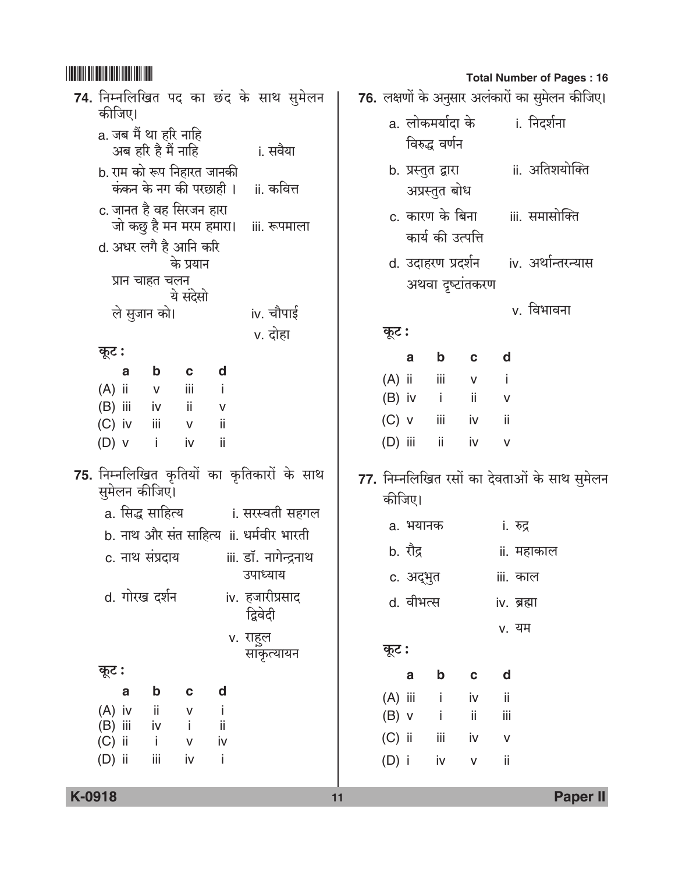| 74. निम्नलिखित पद का छंद के साथ सुमेलन                                                                                                                                                                                                                       | 76. लक्षणों के अनुस                                                           |
|--------------------------------------------------------------------------------------------------------------------------------------------------------------------------------------------------------------------------------------------------------------|-------------------------------------------------------------------------------|
| कीजिए।<br>a. जब मैं था हरि नाहि<br>अब हरि है मैं नाहि<br>i. सवैया                                                                                                                                                                                            | a. लोकमर्यादा<br>विरुद्ध वर्ण                                                 |
| b. राम को रूप निहारत जानकी<br>कंकन के नग की परछाही ।<br>ii. कवित्त                                                                                                                                                                                           | b. प्रस्तुत द्वारा<br>अप्रस्तुत बं                                            |
| c. जानत है वह सिरजन हारा<br>जो कछु है मन मरम हमारा। iii. रूपमाला                                                                                                                                                                                             | c. कारण के 1<br>कार्य की उ                                                    |
| d. अधर लगै है आनि करि<br>के प्रयान<br>प्रान चाहत चलन                                                                                                                                                                                                         | d. उदाहरण प्र<br>अथवा दृष्ट                                                   |
| ये संदेसो<br>iv. चौपाई<br>ले सुजान को।                                                                                                                                                                                                                       | कूट :                                                                         |
| v. दोहा<br>कूट :                                                                                                                                                                                                                                             | $\mathbf b$<br>a                                                              |
| $\mathbf b$<br>d<br>C<br>a<br>$(A)$ ii<br>iii<br>j.<br>$\mathsf{V}$<br>$(B)$ iii<br>iv<br>$\overline{\phantom{a}}$ ii<br>V<br>$(C)$ iv<br>Ш<br>jj<br>$\mathsf{V}$<br>$(D)$ v<br>ii<br>j.<br>iv                                                               | $(A)$ ii<br>iii<br>$(B)$ iv<br>-i<br>$(C)$ v<br>iii<br>$(D)$ iii<br>ii        |
| 75. निम्नलिखित कृतियों का कृतिकारों के साथ<br>सुमेलन कीजिए।<br>a. सिद्ध साहित्य            ।. सरस्वती सहगल<br>b. नाथ और संत साहित्य ॥. धर्मवीर भारती<br>iii. डॉ. नागेन्द्रनाथ<br>c. नाथ संप्रदाय<br>उपाध्याय<br>d. गोरख दर्शन<br>iv. हजारीप्रसाद<br>द्विवेदी | 77. निम्नलिखित रस<br>कीजिए।<br>a. भयानक<br>b. रौद्र<br>c. अद्भुत<br>d. वीभत्स |
| v. राहुल                                                                                                                                                                                                                                                     |                                                                               |
| साकृत्यायन<br>कूट :                                                                                                                                                                                                                                          | कूट :<br>$\mathbf b$<br>a                                                     |
| d<br>b<br>C<br>a<br>$(A)$ iv<br>ii<br>J.<br>v<br>(B) iii<br>$i \vee$<br>$\sim$ i<br>ii<br>$(C)$ ii<br>$\blacksquare$<br>iv<br>$\mathsf{V}$<br>$(D)$ ii<br>iij<br>iv<br>Ť                                                                                     | $(A)$ iii<br>j<br>$\mathbf{i}$<br>$(B)$ v<br>$(C)$ ii<br>iij<br>$(D)$ i<br>iv |

**Total Number of Pages: 16** 

| सुमेलन    |         |          |                                        |               |                                      | 76. लक्षणों के अनुसार अलंकारों का सुमेलन कीजिए। |  |
|-----------|---------|----------|----------------------------------------|---------------|--------------------------------------|-------------------------------------------------|--|
| ाया       |         |          | विरुद्ध वर्णन                          |               | a. लोकमर्यादा के         i. निदर्शना |                                                 |  |
| वेत्त     |         |          | अप्रस्तुत बोध                          |               |                                      | b. प्रस्तुत द्वारा           ii. अतिशयोक्ति     |  |
| ग्माला    |         |          | कार्य की उत्पत्ति                      |               |                                      | c. कारण के बिना iii. समासोक्ति                  |  |
|           |         |          | अथवा दृष्टांतकरण                       |               |                                      | d. उदाहरण प्रदर्शन (iv. अर्थान्तरन्यास          |  |
| पाई<br>इा | कूट :   |          |                                        |               |                                      | v. विभावना                                      |  |
|           |         | a        | b c d                                  |               |                                      |                                                 |  |
|           |         |          | (A) ii iii v i                         |               |                                      |                                                 |  |
|           |         |          | (B) iv i ii v                          |               |                                      |                                                 |  |
|           |         |          | (C) v iii iv ii                        |               |                                      |                                                 |  |
|           |         |          | (D) iii ii iv v                        |               |                                      |                                                 |  |
| के साथ    |         |          |                                        |               |                                      | 77. निम्नलिखित रसों का देवताओं के साथ सुमेलन    |  |
| सहगल      | कीजिए।  |          |                                        |               |                                      |                                                 |  |
| भारती     |         |          | a. भयानक                               |               | ां. रुद्र                            |                                                 |  |
| न्द्रनाथ  |         | b. रौद्र |                                        |               | ii. महाकाल                           |                                                 |  |
| Ī.        |         |          | c. अद्भुत                              |               | iii. काल                             |                                                 |  |
| साद       |         |          | d. वीभत्स                              |               | iv. ब्रह्मा                          |                                                 |  |
|           |         |          |                                        |               | v. यम                                |                                                 |  |
| ायन       | कूट :   |          |                                        |               |                                      |                                                 |  |
|           |         | a        | $\mathbf b$<br>$\overline{\mathbf{C}}$ |               | $\mathbf d$                          |                                                 |  |
|           |         |          | $(A)$ iii i iv                         |               | Πi                                   |                                                 |  |
|           |         |          | $(B)$ v i                              | $\mathbf{ii}$ | iii                                  |                                                 |  |
|           |         |          | $(C)$ ii iii                           | iv            | $\mathsf{V}$                         |                                                 |  |
|           | $(D)$ i |          | iv                                     | V             | -ii                                  |                                                 |  |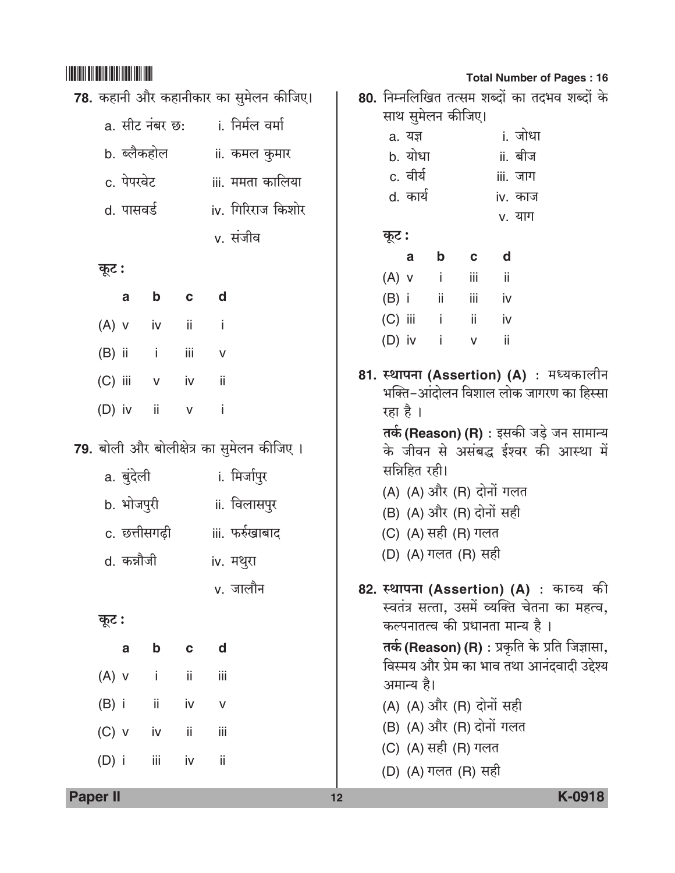| 78. कहानी और कहानीकार का सुमेलन कीजिए। |             |                               |              |              |                                           |  |  |  |  |
|----------------------------------------|-------------|-------------------------------|--------------|--------------|-------------------------------------------|--|--|--|--|
|                                        |             |                               |              |              | a. सीट नंबर छ:       i. निर्मल वर्मा      |  |  |  |  |
|                                        | b. ब्लैकहोल |                               |              |              | ii. कमल कुमार                             |  |  |  |  |
|                                        | c. पेपरवेट  |                               |              |              | iii. ममता कालिया                          |  |  |  |  |
|                                        | d. पासवर्ड  |                               |              |              | iv. गिरिराज किशोर                         |  |  |  |  |
|                                        |             |                               |              |              | v. संजीव                                  |  |  |  |  |
| कूट :                                  |             |                               |              |              |                                           |  |  |  |  |
|                                        |             | a b c d                       |              |              |                                           |  |  |  |  |
|                                        |             | $(A)$ v iv ii i               |              |              |                                           |  |  |  |  |
|                                        |             | (B) ii iii v                  |              |              |                                           |  |  |  |  |
|                                        |             | (C) iii v iv ii               |              |              |                                           |  |  |  |  |
|                                        |             | (D) iv ii v i                 |              |              |                                           |  |  |  |  |
|                                        |             |                               |              |              | 79. बोली और बोलीक्षेत्र का सुमेलन कीजिए । |  |  |  |  |
|                                        | a. बुंदेली  |                               |              |              | i. मिर्जापुर                              |  |  |  |  |
|                                        |             | b. भोजपुरी                    |              |              | ii. विलासपुर                              |  |  |  |  |
|                                        |             |                               |              |              | c. छत्तीसगढ़ी           iii. फर्रुखाबाद   |  |  |  |  |
|                                        | d. कन्नौजी  |                               |              |              | iv. मथुरा                                 |  |  |  |  |
|                                        |             |                               |              |              | v. जालौन                                  |  |  |  |  |
| कूट :                                  |             |                               |              |              |                                           |  |  |  |  |
|                                        | a           | b                             | $\mathbf{C}$ | d d          |                                           |  |  |  |  |
| $(A)$ v                                |             | $\mathbf{I}$ and $\mathbf{I}$ | ii -         | iii          |                                           |  |  |  |  |
|                                        |             | $(B)$ i ii iv                 |              | $\mathsf{V}$ |                                           |  |  |  |  |
|                                        |             | $(C)$ v iv ii                 |              | iii          |                                           |  |  |  |  |
|                                        |             | $(D)$ i iii iv                |              | ji           |                                           |  |  |  |  |
|                                        |             |                               |              |              |                                           |  |  |  |  |

#### **Total Number of Pages: 16**

|                                                                                                                                                                                                                                                                                                           |   |                                                     |                          | iii. जाग          |                                                                                                                                   |                                                                                                                                                                                                                                                                                                                 |  |  |
|-----------------------------------------------------------------------------------------------------------------------------------------------------------------------------------------------------------------------------------------------------------------------------------------------------------|---|-----------------------------------------------------|--------------------------|-------------------|-----------------------------------------------------------------------------------------------------------------------------------|-----------------------------------------------------------------------------------------------------------------------------------------------------------------------------------------------------------------------------------------------------------------------------------------------------------------|--|--|
|                                                                                                                                                                                                                                                                                                           |   |                                                     |                          | iv. काज           |                                                                                                                                   |                                                                                                                                                                                                                                                                                                                 |  |  |
|                                                                                                                                                                                                                                                                                                           |   |                                                     |                          |                   |                                                                                                                                   |                                                                                                                                                                                                                                                                                                                 |  |  |
|                                                                                                                                                                                                                                                                                                           |   |                                                     |                          |                   |                                                                                                                                   |                                                                                                                                                                                                                                                                                                                 |  |  |
|                                                                                                                                                                                                                                                                                                           | а |                                                     |                          |                   |                                                                                                                                   |                                                                                                                                                                                                                                                                                                                 |  |  |
|                                                                                                                                                                                                                                                                                                           |   |                                                     |                          |                   |                                                                                                                                   |                                                                                                                                                                                                                                                                                                                 |  |  |
|                                                                                                                                                                                                                                                                                                           |   |                                                     |                          |                   |                                                                                                                                   |                                                                                                                                                                                                                                                                                                                 |  |  |
|                                                                                                                                                                                                                                                                                                           |   |                                                     |                          |                   |                                                                                                                                   |                                                                                                                                                                                                                                                                                                                 |  |  |
|                                                                                                                                                                                                                                                                                                           |   |                                                     | $\vee$                   |                   |                                                                                                                                   |                                                                                                                                                                                                                                                                                                                 |  |  |
| 81. स्थापना (Assertion) (A) : मध्यकालीन<br>भक्ति–आंदोलन विशाल लोक जागरण का हिस्सा<br>रहा है ।<br>तर्क (Reason) (R) : इसकी जड़े जन सामान्य<br>के जीवन से असंबद्ध ईश्वर की आस्था में<br>सन्निहित रही।<br>(A) (A) और (R) दोनों गलत<br>(B) (A) और (R) दोनों सही<br>(C) (A) सही (R) गलत<br>(D) (A) गलत (R) सही |   |                                                     |                          |                   |                                                                                                                                   |                                                                                                                                                                                                                                                                                                                 |  |  |
| (C) (A) सही (R) गलत                                                                                                                                                                                                                                                                                       |   |                                                     |                          |                   |                                                                                                                                   |                                                                                                                                                                                                                                                                                                                 |  |  |
|                                                                                                                                                                                                                                                                                                           |   | a. यज्ञ<br>b. योधा<br>c. वीर्य<br>d. कार्य<br>कूट : | $(D)$ iv i<br>अमान्य है। | साथ सुमेलन कीजिए। | b c d<br>$(A)$ v i iii ii<br>(B) i ii iii iv<br>(C) iii i ii iv<br>$-$ ii<br>(A) (A) और (R) दोनों सही<br>(B) (A) और (R) दोनों गलत | 80. निम्नलिखित तत्सम शब्दों का तदभव शब्दों के<br>i. जोधा<br>ii. बीज<br>v. याग<br>82. स्थापना (Assertion) (A) : काव्य की<br>स्वतंत्र सत्ता, उसमें व्यक्ति चेतना का महत्व,<br>कल्पनातत्व की प्रधानता मान्य है ।<br>तर्क (Reason) (R) : प्रकृति के प्रति जिज्ञासा,<br>विस्मय और प्रेम का भाव तथा आनंदवादी उद्देश्य |  |  |

Paper II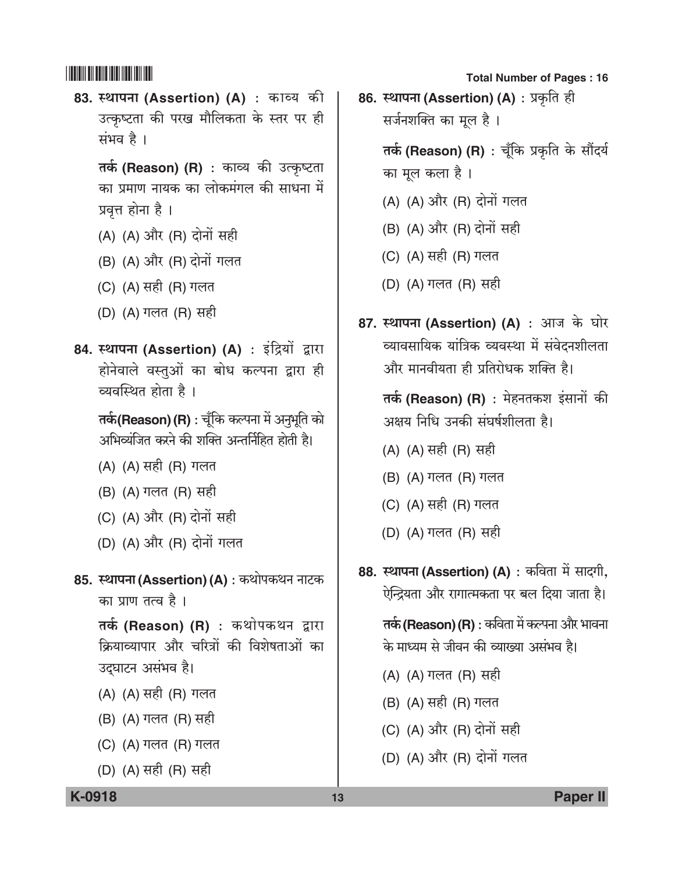83. स्थापना (Assertion) (A) : काव्य की उत्कृष्टता की परख मौलिकता के स्तर पर ही संभव है।

तर्क (Reason) (R) : काव्य की उत्कृष्टता का प्रमाण नायक का लोकमंगल की साधना में प्रवृत्त होना है।

- (A) (A) और (R) दोनों सही
- (B) (A) और (R) दोनों गलत
- (C) (A) सही (R) गलत
- (D) (A) गलत (R) सही
- 84. स्थापना (Assertion) (A) : इंद्रियों द्वारा होनेवाले वस्तुओं का बोध कल्पना द्वारा ही व्यवस्थित होता है।

तर्क(Reason) (R) : चूँकि कल्पना में अनुभूति को अभिव्यंजित करने की शक्ति अन्तर्निहित होती है।

- (A) (A) सही (R) गलत
- (B) (A) गलत (R) सही
- (C) (A) और (R) दोनों सही
- (D) (A) और (R) दोनों गलत
- 85. स्थापना (Assertion) (A) : कथोपकथन नाटक का प्राण तत्व है ।

तर्क (Reason) (R) : कथोपकथन द्वारा कियाव्यापार और चरित्रों की विशेषताओं का उद्घाटन असंभव है।

- (A) (A) सही (R) गलत
- (B) (A) गलत (R) सही
- (C) (A) गलत (R) गलत
- (D) (A) सही (R) सही

**Total Number of Pages: 16** 

86. स्थापना (Assertion) (A) : प्रकृति ही सर्जनशक्ति का मूल है।

> तर्क (Reason) (R) : चूँकि प्रकृति के सौंदर्य का मूल कला है।

- (A) (A) और (R) दोनों गलत
- (B) (A) और (R) दोनों सही
- (C) (A) सही (R) गलत
- (D) (A) गलत (R) सही
- 87. स्थापना (Assertion) (A) : आज के घोर व्यावसायिक यांत्रिक व्यवस्था में संवेदनशीलता और मानवीयता ही प्रतिरोधक शक्ति है।

तर्क (Reason) (R) : मेहनतकश इंसानों की अक्षय निधि उनकी संघर्षशीलता है।

- (A) (A) सही (R) सही
- (B) (A) गलत (R) गलत
- (C) (A) सही (R) गलत
- (D) (A) गलत (R) सही
- 88. स्थापना (Assertion) (A) : कविता में सादगी, ऐन्द्रियता और रागात्मकता पर बल दिया जाता है।

तर्क (Reason) (R) : कविता में कल्पना और भावना के माध्यम से जीवन की व्याख्या असंभव है।

- (A) (A) गलत (R) सही
- (B) (A) सही (R) गलत
- (C) (A) और (R) दोनों सही
- (D) (A) और (R) दोनों गलत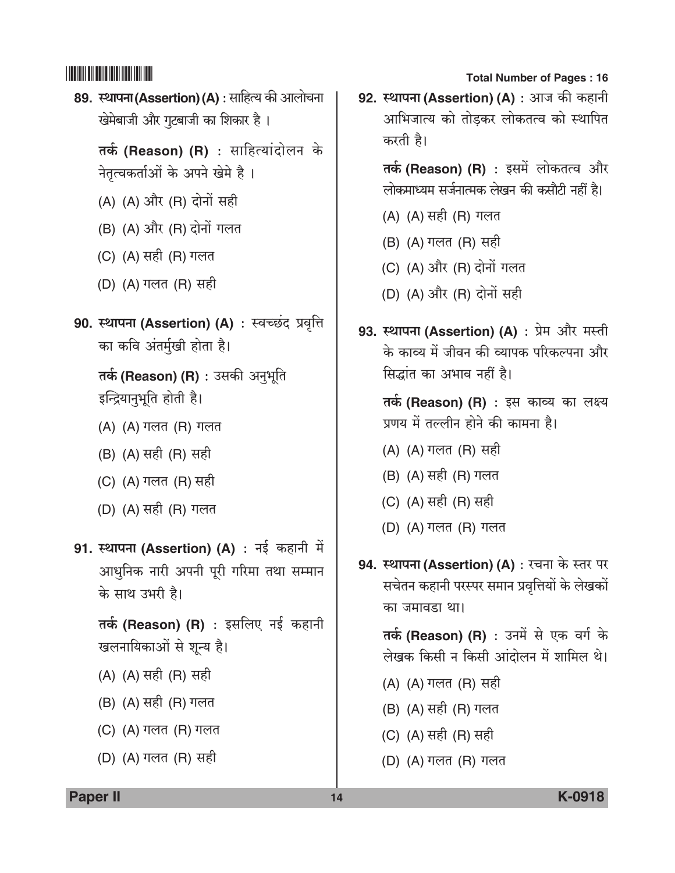89. स्थापना (Assertion) (A) : साहित्य की आलोचना खेमेबाजी और गुटबाजी का शिकार है। तर्क (Reason) (R) : साहित्यांदोलन के नेतृत्वकर्ताओं के अपने खेमे है। (A) (A) और (R) दोनों सही (B) (A) और (R) दोनों गलत (C) (A) सही (R) गलत (D) (A) गलत (R) सही 90. स्थापना (Assertion) (A) : स्वच्छंद प्रवृत्ति का कवि अंतर्मुखी होता है। तर्क (Reason) (R) : उसकी अनुभूति इन्द्रियानुभूति होती है। (A) (A) गलत (R) गलत (B) (A) सही (R) सही (C) (A) गलत (R) सही (D) (A) सही (R) गलत 91. स्थापना (Assertion) (A) : नई कहानी में

आधुनिक नारी अपनी पूरी गरिमा तथा सम्मान के साथ उभरी है।

तर्क (Reason) (R) : इसलिए नई कहानी खलनायिकाओं से शून्य है।

- (A) (A) सही (R) सही
- (B) (A) सही (R) गलत
- (C) (A) गलत (R) गलत
- (D) (A) गलत (R) सही

**Total Number of Pages: 16** 

92. स्थापना (Assertion) (A) : आज की कहानी आभिजात्य को तोडकर लोकतत्व को स्थापित करती है।

तर्क (Reason) (R) : इसमें लोकतत्व और लोकमाध्यम सर्जनात्मक लेखन की कसौटी नहीं है।

- (A) (A) सही (R) गलत
- (B) (A) गलत (R) सही
- (C) (A) और (R) दोनों गलत
- (D) (A) और (R) दोनों सही
- 93. स्थापना (Assertion) (A) : प्रेम और मस्ती के काव्य में जीवन की व्यापक परिकल्पना और सिद्धांत का अभाव नहीं है।

तर्क (Reason) (R) : इस काव्य का लक्ष्य प्रणय में तल्लीन होने की कामना है।

- (A) (A) गलत (R) सही
- (B) (A) सही (R) गलत
- (C) (A) सही (R) सही
- (D) (A) गलत (R) गलत
- 94. स्थापना (Assertion) (A) : रचना के स्तर पर सचेतन कहानी परस्पर समान प्रवृत्तियों के लेखकों का जमावडा था।

तर्क (Reason) (R) : उनमें से एक वर्ग के लेखक किसी न किसी आंदोलन में शामिल थे।

- (A) (A) गलत (R) सही
- (B) (A) सही (R) गलत
- (C) (A) सही (R) सही
- (D) (A) गलत (R) गलत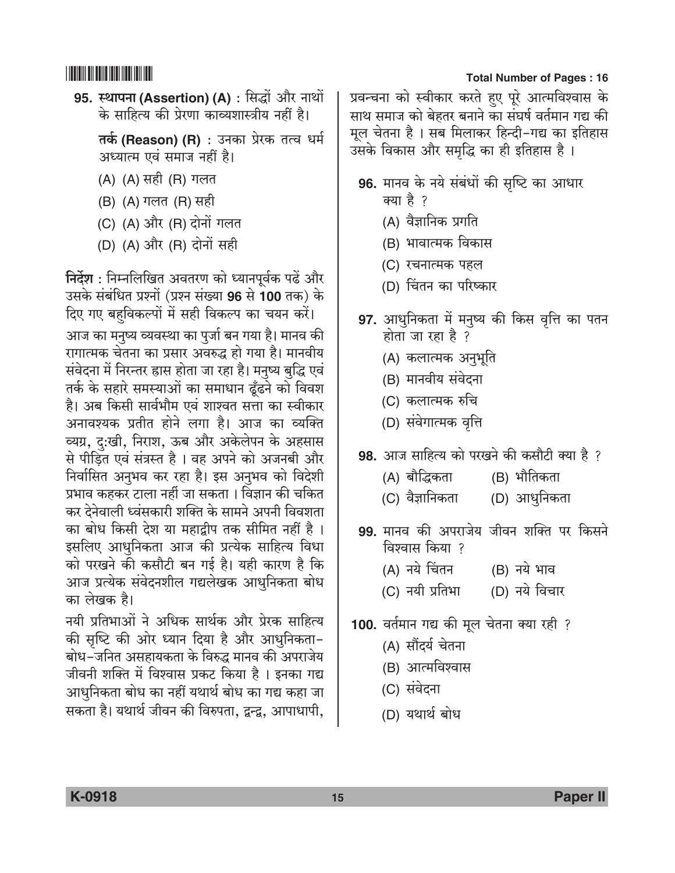95. स्थापना (Assertion) (A) : सिद्धों और नाथों के साहित्य की प्रेरणा काव्यशास्त्रीय नहीं है।

**तर्क (Reason) (R)** : उनका प्रेरक तत्व धर्म अध्यात्म एवं समाज नहीं है।

- (A) (A) सही (R) गलत
- (B) (A) गलत (R) सही
- (C) (A) और (R) दोनों गलत
- (D) (A) और (R) दोनों सही

निर्देश : निम्नलिखित अवतरण को ध्यानपूर्वक पढें और उसके संबंधित प्रश्नों (प्रश्न संख्या 96 से 100 तक) के दिए गए बहविकल्पों में सही विकल्प का चयन करें।

आज का मनुष्य व्यवस्था का पुर्जा बन गया है। मानव की रागात्मक चेतना का प्रसार अवरुद्ध हो गया है। मानवीय संवेदना में निरन्तर ह्रास होता जा रहा है। मनुष्य बुद्धि एवं तर्क के सहारे समस्याओं का समाधान ढूँढने को विवश है। अब किसी सार्वभौम एवं शाश्वत सत्ता का स्वीकार अनावश्यक प्रतीत होने लगा है। आज का व्यक्ति व्यग्र, दु:खी, निराश, ऊब और अकेलेपन के अहसास से पीड़ित एवं संत्रस्त है। वह अपने को अजनबी और निर्वासित अनुभव कर रहा है। इस अनुभव को विदेशी प्रभाव कहकर टाला नहीं जा सकता । विज्ञान की चकित कर देनेवाली ध्वंसकारी शक्ति के सामने अपनी विवशता का बोध किसी देश या महाद्वीप तक सीमित नहीं है। इसलिए आधुनिकता आज की प्रत्येक साहित्य विधा को परखने की कसौटी बन गई है। यही कारण है कि आज प्रत्येक संवेदनशील गद्यलेखक आधुनिकता बोध का लेखक है।

नयी प्रतिभाओं ने अधिक सार्थक और प्रेरक साहित्य की सृष्टि की ओर ध्यान दिया है और आधुनिकता-बोध–जनित असहायकता के विरुद्ध मानव की अपराजेय जीवनी शक्ति में विश्वास प्रकट किया है । इनका गद्य आधुनिकता बोध का नहीं यथार्थ बोध का गद्य कहा जा सकता है। यथार्थ जीवन की विरुपता, द्वन्द्व, आपाधापी,

#### **Total Number of Pages: 16**

प्रवन्चना को स्वीकार करते हुए पूरे आत्मविश्वास के साथ समाज को बेहतर बनाने का संघर्ष वर्तमान गद्य की मूल चेतना है। सब मिलाकर हिन्दी-गद्य का इतिहास उसके विकास और समृद्धि का ही इतिहास है।

- 96. मानव के नये संबंधों की सृष्टि का आधार क्या है ?
	- (A) वैज्ञानिक प्रगति
	- (B) भावात्मक विकास
	- (C) रचनात्मक पहल
	- (D) चिंतन का परिष्कार
- 97. आधुनिकता में मनुष्य की किस वृत्ति का पतन होता जा रहा है ?
	- (A) कलात्मक अनुभूति
	- (B) मानवीय संवेदना
	- (C) कलात्मक रुचि
	- (D) संवेगात्मक वृत्ति
- 98. आज साहित्य को परखने की कसौटी क्या है ?
	- (A) बौद्धिकता (B) भौतिकता
	- (C) वैज्ञानिकता (D) आधुनिकता
- 99. मानव की अपराजेय जीवन शक्ति पर किसने विश्वास किया ?
	- (A) नये चिंतन (B) नये भाव
	- (D) नये विचार (C) नयी प्रतिभा
- 100. वर्तमान गद्य की मूल चेतना क्या रही ?
	- (A) सौंदर्य चेतना
	- (B) आत्मविश्वास
	- (C) संवेदना
	- (D) यथार्थ बोध